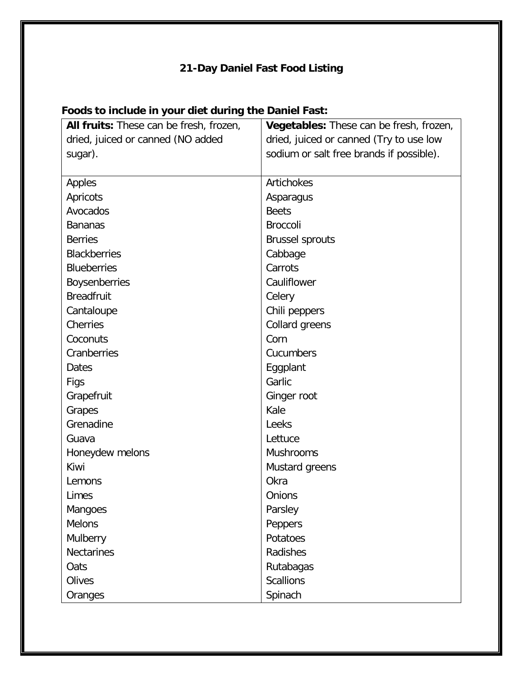## **21-Day Daniel Fast Food Listing**

| All fruits: These can be fresh, frozen, | Vegetables: These can be fresh, frozen,  |
|-----------------------------------------|------------------------------------------|
| dried, juiced or canned (NO added       | dried, juiced or canned (Try to use low  |
| sugar).                                 | sodium or salt free brands if possible). |
|                                         |                                          |
| Apples                                  | Artichokes                               |
| Apricots                                | Asparagus                                |
| Avocados                                | <b>Beets</b>                             |
| <b>Bananas</b>                          | <b>Broccoli</b>                          |
| <b>Berries</b>                          | <b>Brussel sprouts</b>                   |
| <b>Blackberries</b>                     | Cabbage                                  |
| <b>Blueberries</b>                      | Carrots                                  |
| <b>Boysenberries</b>                    | Cauliflower                              |
| <b>Breadfruit</b>                       | Celery                                   |
| Cantaloupe                              | Chili peppers                            |
| Cherries                                | Collard greens                           |
| Coconuts                                | Corn                                     |
| Cranberries                             | Cucumbers                                |
| <b>Dates</b>                            | Eggplant                                 |
| Figs                                    | Garlic                                   |
| Grapefruit                              | Ginger root                              |
| Grapes                                  | Kale                                     |
| Grenadine                               | Leeks                                    |
| Guava                                   | Lettuce                                  |
| Honeydew melons                         | <b>Mushrooms</b>                         |
| Kiwi                                    | Mustard greens                           |
| Lemons                                  | Okra                                     |
| Limes                                   | Onions                                   |
| Mangoes                                 | Parsley                                  |
| <b>Melons</b>                           | Peppers                                  |
| Mulberry                                | Potatoes                                 |
| <b>Nectarines</b>                       | Radishes                                 |
| Oats                                    | Rutabagas                                |
| Olives                                  | <b>Scallions</b>                         |
| Oranges                                 | Spinach                                  |

## **Foods to include in your diet during the Daniel Fast:**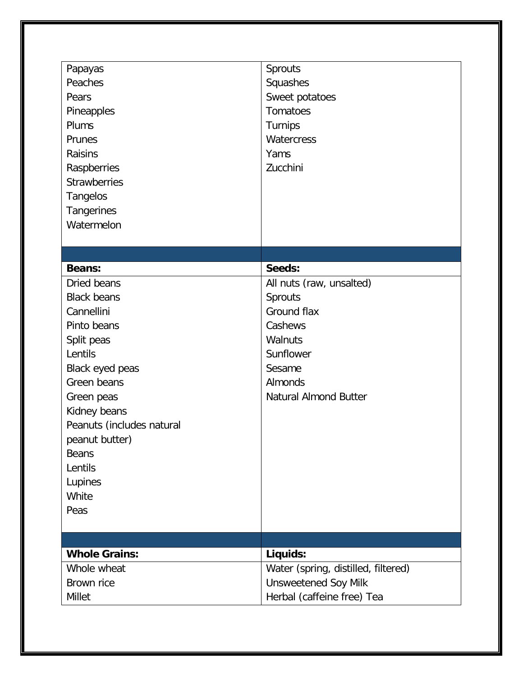| Papayas<br>Peaches<br>Pears<br>Pineapples<br>Plums<br>Prunes<br>Raisins<br>Raspberries<br><b>Strawberries</b><br><b>Tangelos</b><br>Tangerines<br>Watermelon | Sprouts<br>Squashes<br>Sweet potatoes<br><b>Tomatoes</b><br>Turnips<br>Watercress<br>Yams<br>Zucchini |
|--------------------------------------------------------------------------------------------------------------------------------------------------------------|-------------------------------------------------------------------------------------------------------|
|                                                                                                                                                              |                                                                                                       |
| <b>Beans:</b>                                                                                                                                                | Seeds:                                                                                                |
| Dried beans                                                                                                                                                  | All nuts (raw, unsalted)                                                                              |
| <b>Black beans</b>                                                                                                                                           | Sprouts                                                                                               |
| Cannellini                                                                                                                                                   | Ground flax                                                                                           |
| Pinto beans                                                                                                                                                  | Cashews                                                                                               |
| Split peas                                                                                                                                                   | Walnuts                                                                                               |
| Lentils                                                                                                                                                      | Sunflower                                                                                             |
| Black eyed peas                                                                                                                                              | Sesame                                                                                                |
| Green beans                                                                                                                                                  | Almonds                                                                                               |
| Green peas<br>Kidney beans                                                                                                                                   | <b>Natural Almond Butter</b>                                                                          |
| Peanuts (includes natural                                                                                                                                    |                                                                                                       |
| peanut butter)                                                                                                                                               |                                                                                                       |
| <b>Beans</b>                                                                                                                                                 |                                                                                                       |
| Lentils                                                                                                                                                      |                                                                                                       |
| Lupines                                                                                                                                                      |                                                                                                       |
| White                                                                                                                                                        |                                                                                                       |
| Peas                                                                                                                                                         |                                                                                                       |
|                                                                                                                                                              |                                                                                                       |
|                                                                                                                                                              |                                                                                                       |
| <b>Whole Grains:</b>                                                                                                                                         | Liquids:                                                                                              |
| Whole wheat                                                                                                                                                  | Water (spring, distilled, filtered)                                                                   |
| Brown rice                                                                                                                                                   | <b>Unsweetened Soy Milk</b>                                                                           |
| <b>Millet</b>                                                                                                                                                | Herbal (caffeine free) Tea                                                                            |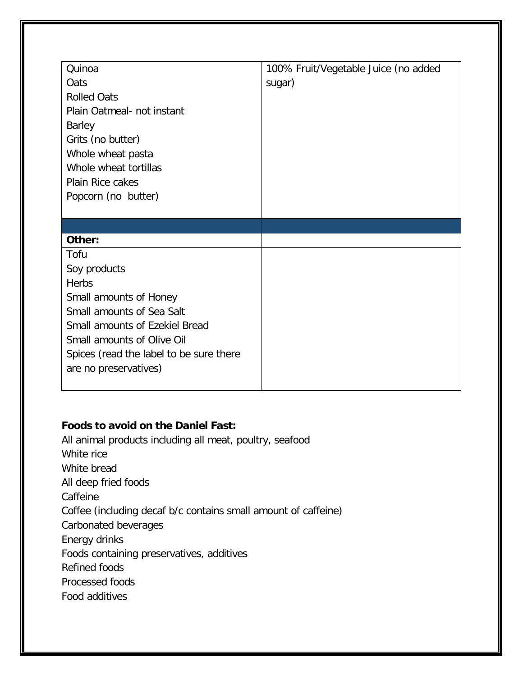| Quinoa                                  | 100% Fruit/Vegetable Juice (no added |
|-----------------------------------------|--------------------------------------|
| Oats                                    | sugar)                               |
| <b>Rolled Oats</b>                      |                                      |
| Plain Oatmeal- not instant              |                                      |
| <b>Barley</b>                           |                                      |
| Grits (no butter)                       |                                      |
| Whole wheat pasta                       |                                      |
| Whole wheat tortillas                   |                                      |
| Plain Rice cakes                        |                                      |
| Popcorn (no butter)                     |                                      |
|                                         |                                      |
|                                         |                                      |
|                                         |                                      |
| Other:                                  |                                      |
| Tofu                                    |                                      |
| Soy products                            |                                      |
| <b>Herbs</b>                            |                                      |
| Small amounts of Honey                  |                                      |
| Small amounts of Sea Salt               |                                      |
| Small amounts of Ezekiel Bread          |                                      |
| <b>Small amounts of Olive Oil</b>       |                                      |
| Spices (read the label to be sure there |                                      |
| are no preservatives)                   |                                      |

## **Foods to avoid on the Daniel Fast:**

All animal products including all meat, poultry, seafood White rice White bread All deep fried foods Caffeine Coffee (including decaf b/c contains small amount of caffeine) Carbonated beverages Energy drinks Foods containing preservatives, additives Refined foods Processed foods Food additives